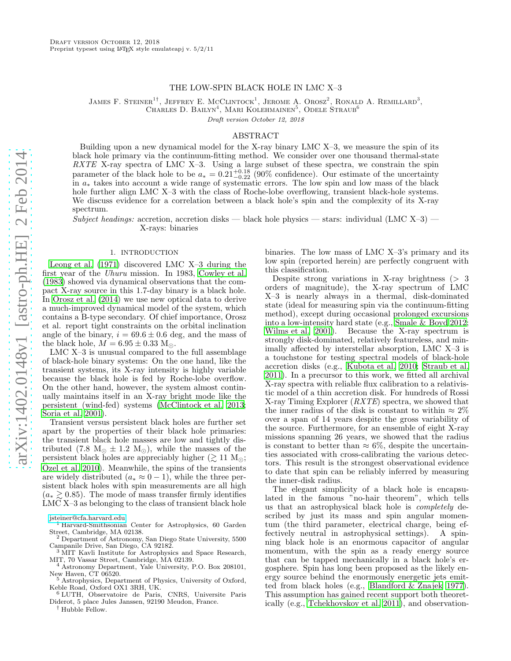### THE LOW-SPIN BLACK HOLE IN LMC X–3

JAMES F. STEINER<sup>1†</sup>, JEFFREY E. MCCLINTOCK<sup>1</sup>, JEROME A. OROSZ<sup>2</sup>, RONALD A. REMILLARD<sup>3</sup>, CHARLES D. BAILYN<sup>4</sup>, MARI KOLEHMAINEN<sup>5</sup>, ODELE STRAUB<sup>6</sup>

Draft version October 12, 2018

#### ABSTRACT

Building upon a new dynamical model for the X-ray binary LMC X–3, we measure the spin of its black hole primary via the continuum-fitting method. We consider over one thousand thermal-state RXTE X-ray spectra of LMC X-3. Using a large subset of these spectra, we constrain the spin parameter of the black hole to be  $a_* = 0.21_{-0.22}^{+0.18}$  (90% confidence). Our estimate of the uncertainty in a<sup>∗</sup> takes into account a wide range of systematic errors. The low spin and low mass of the black hole further align LMC X-3 with the class of Roche-lobe overflowing, transient black-hole systems. We discuss evidence for a correlation between a black hole's spin and the complexity of its X-ray spectrum.

Subject headings: accretion, accretion disks — black hole physics — stars: individual (LMC X-3) — X-rays: binaries

# 1. INTRODUCTION

<span id="page-0-0"></span>[Leong et al. \(1971](#page-4-0)) discovered LMC X–3 during the first year of the Uhuru mission. In 1983, [Cowley et al.](#page-4-1) [\(1983\)](#page-4-1) showed via dynamical observations that the compact X-ray source in this 1.7-day binary is a black hole. In [Orosz et al. \(2014\)](#page-4-2) we use new optical data to derive a much-improved dynamical model of the system, which contains a B-type secondary. Of chief importance, Orosz et al. report tight constraints on the orbital inclination angle of the binary,  $i = 69.6 \pm 0.6$  deg, and the mass of the black hole,  $M = 6.95 \pm 0.33$  M<sub>o</sub>.

LMC X–3 is unusual compared to the full assemblage of black-hole binary systems: On the one hand, like the transient systems, its X-ray intensity is highly variable because the black hole is fed by Roche-lobe overflow. On the other hand, however, the system almost continually maintains itself in an X-ray bright mode like the persistent (wind-fed) systems [\(McClintock et al. 2013;](#page-4-3) [Soria et al. 2001\)](#page-4-4).

Transient versus persistent black holes are further set apart by the properties of their black hole primaries: the transient black hole masses are low and tightly distributed (7.8 M<sub>☉</sub>  $\pm$  1.2 M<sub>☉</sub>), while the masses of the persistent black holes are appreciably higher ( $\gtrsim$  11 M<sub> $\odot$ </sub>;  $\ddot{\text{O}}$ zel et al. 2010). Meanwhile, the spins of the transients are widely distributed  $(a_* \approx 0-1)$ , while the three persistent black holes with spin measurements are all high  $(a_* \geq 0.85)$ . The mode of mass transfer firmly identifies LMC X–3 as belonging to the class of transient black hole

binaries. The low mass of LMC X–3's primary and its low spin (reported herein) are perfectly congruent with this classification.

Despite strong variations in X-ray brightness  $(> 3$ orders of magnitude), the X-ray spectrum of LMC X–3 is nearly always in a thermal, disk-dominated state (ideal for measuring spin via the continuum-fitting method), except during occasional prolonged excursions into a low-intensity hard state (e.g., [Smale & Boyd 2012](#page-4-6); [Wilms et al. 2001](#page-4-7)). Because the X-ray spectrum is strongly disk-dominated, relatively featureless, and minimally affected by interstellar absorption, LMC X–3 is a touchstone for testing spectral models of black-hole accretion disks (e.g., [Kubota et al. 2010](#page-4-8); [Straub et al.](#page-4-9) [2011\)](#page-4-9). In a precursor to this work, we fitted all archival X-ray spectra with reliable flux calibration to a relativistic model of a thin accretion disk. For hundreds of Rossi X-ray Timing Explorer  $(RXTE)$  spectra, we showed that the inner radius of the disk is constant to within  $\approx 2\%$ over a span of 14 years despite the gross variability of the source. Furthermore, for an ensemble of eight X-ray missions spanning 26 years, we showed that the radius is constant to better than  $\approx 6\%$ , despite the uncertainties associated with cross-calibrating the various detectors. This result is the strongest observational evidence to date that spin can be reliably inferred by measuring the inner-disk radius.

The elegant simplicity of a black hole is encapsulated in the famous "no-hair theorem", which tells us that an astrophysical black hole is completely described by just its mass and spin angular momentum (the third parameter, electrical charge, being effectively neutral in astrophysical settings). A spinfectively neutral in astrophysical settings). ning black hole is an enormous capacitor of angular momentum, with the spin as a ready energy source that can be tapped mechanically in a black hole's ergosphere. Spin has long been proposed as the likely energy source behind the enormously energetic jets emitted from black holes (e.g., [Blandford & Znajek 1977](#page-4-10)). This assumption has gained recent support both theoretically (e.g., [Tchekhovskoy et al. 2011](#page-4-11)), and observation-

[jsteiner@cfa.harvard.edu](mailto:jsteiner@cfa.harvard.edu)

<sup>&</sup>lt;sup>1</sup> Harvard-Smithsonian Center for Astrophysics, 60 Garden Street, Cambridge, MA 02138.

<sup>2</sup> Department of Astronomy, San Diego State University, 5500 Campanile Drive, San Diego, CA 92182. <sup>3</sup> MIT Kavli Institute for Astrophysics and Space Research,

MIT, 70 Vassar Street, Cambridge, MA 02139. <sup>4</sup> Astronomy Department, Yale University, P.O. Box 208101,

New Haven, CT 06520.

<sup>5</sup> Astrophysics, Department of Physics, University of Oxford, Keble Road, Oxford OX1 3RH, UK.

<sup>6</sup> LUTH, Observatoire de Paris, CNRS, Universite Paris Diderot, 5 place Jules Janssen, 92190 Meudon, France.

<sup>†</sup> Hubble Fellow.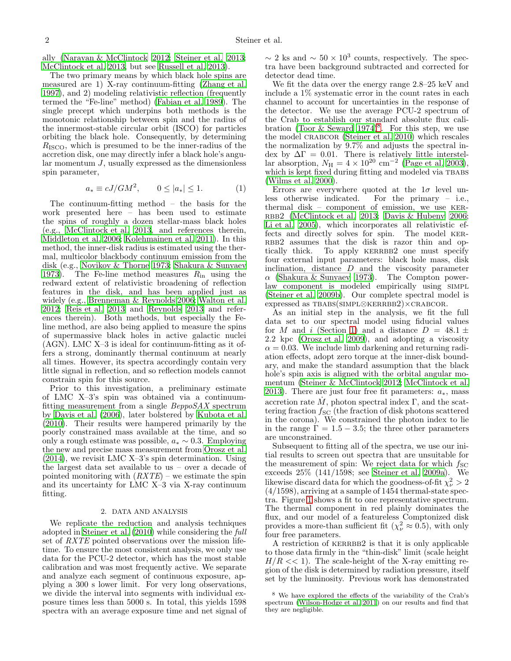ally [\(Narayan & McClintock 2012;](#page-4-12) [Steiner et al. 2013;](#page-4-13) [McClintock et al. 2013,](#page-4-3) but see [Russell et al. 2013\)](#page-4-14).

The two primary means by which black hole spins are measured are 1) X-ray continuum-fitting [\(Zhang et al.](#page-4-15) [1997\)](#page-4-15), and 2) modeling relativistic reflection (frequently termed the "Fe-line" method) [\(Fabian et al. 1989\)](#page-4-16). The single precept which underpins both methods is the monotonic relationship between spin and the radius of the innermost-stable circular orbit (ISCO) for particles orbiting the black hole. Consequently, by determining  $R_{\rm ISCO}$ , which is presumed to be the inner-radius of the accretion disk, one may directly infer a black hole's angular momentum J, usually expressed as the dimensionless spin parameter,

$$
a_* \equiv cJ/GM^2, \qquad 0 \le |a_*| \le 1. \tag{1}
$$

The continuum-fitting method – the basis for the work presented here – has been used to estimate the spins of roughly a dozen stellar-mass black holes (e.g., [McClintock et al. 2013](#page-4-3), and references therein, [Middleton et al. 2006;](#page-4-17) [Kolehmainen et al. 2011\)](#page-4-18). In this method, the inner-disk radius is estimated using the thermal, multicolor blackbody continuum emission from the disk (e.g., [Novikov & Thorne 1973;](#page-4-19) [Shakura & Sunyaev](#page-4-20) [1973\)](#page-4-20). The Fe-line method measures  $R_{\text{in}}$  using the redward extent of relativistic broadening of reflection features in the disk, and has been applied just as widely (e.g., [Brenneman & Reynolds 2006;](#page-4-21) [Walton et al.](#page-4-22) [2012;](#page-4-22) [Reis et al. 2013](#page-4-23) and [Reynolds 2013](#page-4-24) and references therein). Both methods, but especially the Feline method, are also being applied to measure the spins of supermassive black holes in active galactic nuclei (AGN). LMC X–3 is ideal for continuum-fitting as it offers a strong, dominantly thermal continuum at nearly all times. However, its spectra accordingly contain very little signal in reflection, and so reflection models cannot constrain spin for this source.

Prior to this investigation, a preliminary estimate of LMC X–3's spin was obtained via a continuumfitting measurement from a single *BeppoSAX* spectrum by [Davis et al. \(2006](#page-4-25)), later bolstered by [Kubota et al.](#page-4-8) [\(2010\)](#page-4-8). Their results were hampered primarily by the poorly constrained mass available at the time, and so only a rough estimate was possible,  $a_* \sim 0.3$ . Employing the new and precise mass measurement from [Orosz et al.](#page-4-2) [\(2014\)](#page-4-2), we revisit LMC X–3's spin determination. Using the largest data set available to us – over a decade of pointed monitoring with  $(RXTE)$  – we estimate the spin and its uncertainty for LMC X–3 via X-ray continuum fitting.

#### 2. DATA AND ANALYSIS

<span id="page-1-1"></span>We replicate the reduction and analysis techniques adopted in [Steiner et al. \(2010\)](#page-4-26) while considering the full set of RXTE pointed observations over the mission lifetime. To ensure the most consistent analysis, we only use data for the PCU-2 detector, which has the most stable calibration and was most frequently active. We separate and analyze each segment of continuous exposure, applying a 300 s lower limit. For very long observations, we divide the interval into segments with individual exposure times less than 5000 s. In total, this yields 1598 spectra with an average exposure time and net signal of

 $\sim 2$  ks and  $\sim 50 \times 10^3$  counts, respectively. The spectra have been background subtracted and corrected for detector dead time.

We fit the data over the energy range 2.8–25 keV and include a 1% systematic error in the count rates in each channel to account for uncertainties in the response of the detector. We use the average PCU-2 spectrum of the Crab to establish our standard absolute flux calibration (Toor & Seward  $1974)^8$  $1974)^8$ . For this step, we use the model crabcor [\(Steiner et al. 2010](#page-4-26)) which rescales the normalization by 9.7% and adjusts the spectral index by  $\Delta\Gamma = 0.01$ . There is relatively little interstellar absorption,  $N_{\rm H} = 4 \times 10^{20}$  cm<sup>-2</sup> [\(Page et al. 2003](#page-4-28)), which is kept fixed during fitting and modeled via TBABS [\(Wilms et al. 2000](#page-4-29)).

Errors are everywhere quoted at the  $1\sigma$  level un-<br>less otherwise indicated. For the primary – i.e., For the primary – i.e., thermal disk – component of emission, we use ker-RBB2 [\(McClintock et al. 2013](#page-4-3); [Davis & Hubeny 2006](#page-4-30); [Li et al. 2005](#page-4-31)), which incorporates all relativistic effects and directly solves for spin. The model ker-RBB2 assumes that the disk is razor thin and optically thick. To apply KERRBB2 one must specify four external input parameters: black hole mass, disk inclination, distance  $D$  and the viscosity parameter  $\alpha$  [\(Shakura & Sunyaev 1973\)](#page-4-20). The Compton powerlaw component is modeled empirically using SIMPL [\(Steiner et al. 2009b](#page-4-32)). Our complete spectral model is expressed as TBABS(SIMPL⊗KERRBB2)×CRABCOR.

As an initial step in the analysis, we fit the full data set to our spectral model using fiducial values for M and i (Section [1\)](#page-0-0) and a distance  $D = 48.1 \pm$ 2.2 kpc [\(Orosz et al. 2009\)](#page-4-33), and adopting a viscosity  $\alpha = 0.03$ . We include limb darkening and returning radiation effects, adopt zero torque at the inner-disk boundary, and make the standard assumption that the black hole's spin axis is aligned with the orbital angular momentum [\(Steiner & McClintock 2012;](#page-4-34) [McClintock et al.](#page-4-3) [2013\)](#page-4-3). There are just four free fit parameters:  $a_*,$  mass accretion rate  $\dot{M}$ , photon spectral index  $\Gamma$ , and the scattering fraction  $f_{SC}$  (the fraction of disk photons scattered in the corona). We constrained the photon index to lie in the range  $\Gamma = 1.5 - 3.5$ ; the three other parameters are unconstrained.

Subsequent to fitting all of the spectra, we use our initial results to screen out spectra that are unsuitable for the measurement of spin: We reject data for which  $f_{SC}$ exceeds 25% (141/1598; see [Steiner et al. 2009a\)](#page-4-35). We likewise discard data for which the goodness-of-fit  $\chi^2_{\nu} > 2$ (4/1598), arriving at a sample of 1454 thermal-state spectra. Figure [1](#page-2-0) shows a fit to one representative spectrum. The thermal component in red plainly dominates the flux, and our model of a featureless Comptonized disk provides a more-than sufficient fit  $(\chi^2_{\nu} \approx 0.5)$ , with only four free parameters.

A restriction of KERRBB2 is that it is only applicable to those data firmly in the "thin-disk" limit (scale height  $H/R \ll 1$ ). The scale-height of the X-ray emitting region of the disk is determined by radiation pressure, itself set by the luminosity. Previous work has demonstrated

<span id="page-1-0"></span><sup>8</sup> We have explored the effects of the variability of the Crab's spectrum [\(Wilson-Hodge et al. 2011\)](#page-4-36) on our results and find that they are negligible.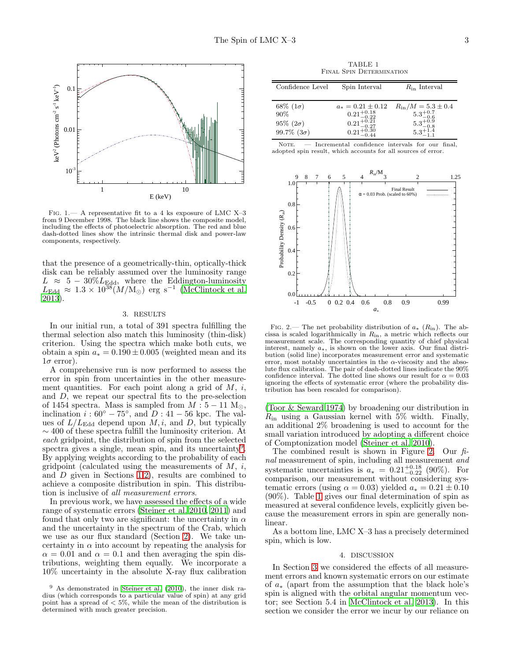

<span id="page-2-0"></span>Fig. 1.— A representative fit to a 4 ks exposure of LMC X–3 from 9 December 1998. The black line shows the composite model, including the effects of photoelectric absorption. The red and blue dash-dotted lines show the intrinsic thermal disk and power-law components, respectively.

that the presence of a geometrically-thin, optically-thick disk can be reliably assumed over the luminosity range  $L \approx 5 - 30\%L_{\text{Edd}}$ , where the Eddington-luminosity  $L_{\rm Edd}$  ≈ 1.3 × 10<sup>38</sup>( $M/M_{\odot}$ ) erg s<sup>-1</sup> [\(McClintock et al.](#page-4-3) [2013\)](#page-4-3).

#### 3. RESULTS

<span id="page-2-4"></span>In our initial run, a total of 391 spectra fulfilling the thermal selection also match this luminosity (thin-disk) criterion. Using the spectra which make both cuts, we obtain a spin  $a_* = 0.190 \pm 0.005$  (weighted mean and its  $1\sigma$  error).

A comprehensive run is now performed to assess the error in spin from uncertainties in the other measurement quantities. For each point along a grid of  $M$ , i, and D, we repeat our spectral fits to the pre-selection of 1454 spectra. Mass is sampled from  $M: 5-11$  M<sub> $\odot$ </sub>, inclination  $i:60^{\circ} - 75^{\circ}$ , and  $D:41 - 56$  kpc. The values of  $L/L_{\text{Edd}}$  depend upon  $M, i$ , and D, but typically  $\sim$  400 of these spectra fulfill the luminosity criterion. At each gridpoint, the distribution of spin from the selected spectra gives a single, mean spin, and its uncertainty<sup>[9](#page-2-1)</sup>. By applying weights according to the probability of each gridpoint (calculated using the measurements of  $M$ ,  $i$ , and D given in Sections [1,](#page-0-0)[2\)](#page-1-1), results are combined to achieve a composite distribution in spin. This distribution is inclusive of all measurement errors.

In previous work, we have assessed the effects of a wide range of systematic errors [\(Steiner et al. 2010,](#page-4-26) [2011\)](#page-4-37) and found that only two are significant: the uncertainty in  $\alpha$ and the uncertainty in the spectrum of the Crab, which we use as our flux standard (Section [2\)](#page-1-1). We take uncertainty in  $\alpha$  into account by repeating the analysis for  $\alpha = 0.01$  and  $\alpha = 0.1$  and then averaging the spin distributions, weighting them equally. We incorporate a 10% uncertainty in the absolute X-ray flux calibration

TABLE 1 Final Spin Determination

<span id="page-2-3"></span>

| Confidence Level                                                 | Spin Interval                                                                                                               | $R_{\rm in}$ Interval                                                                                                      |
|------------------------------------------------------------------|-----------------------------------------------------------------------------------------------------------------------------|----------------------------------------------------------------------------------------------------------------------------|
| $68\%~(1\sigma)$<br>90%<br>$95\% (2\sigma)$<br>99.7% $(3\sigma)$ | $a_* = 0.21 \pm 0.12$<br>$\substack{0.21_{-0.22}^{+0.18}\\0.21_{-0.27}^{+0.21}\\0.21_{-0.30}^{+0.30}\\0.21_{-0.44}^{+0.30}$ | $R_{\rm in}/M = 5.3 \pm 0.4$<br>$\begin{array}{l} 5.3_{-0.6}^{+0.7}\\ 5.3_{-0.8}^{+0.9}\\ 5.3_{-1.8}^{+1.4}\\ \end{array}$ |

NOTE. — Incremental confidence intervals for our final, adopted spin result, which accounts for all sources of error.



<span id="page-2-2"></span>FIG. 2.— The net probability distribution of  $a_*$  ( $R_{\rm in}$ ). The abcissa is scaled logarithmically in Rin, a metric which reflects our measurement scale. The corresponding quantity of chief physical interest, namely a∗, is shown on the lower axis. Our final distribution (solid line) incorporates measurement error and systematic error, most notably uncertainties in the  $\alpha$ -viscosity and the absolute flux calibration. The pair of dash-dotted lines indicate the 90% confidence interval. The dotted line shows our result for  $\alpha = 0.03$ ignoring the effects of systematic error (where the probability distribution has been rescaled for comparison).

[\(Toor & Seward 1974\)](#page-4-27) by broadening our distribution in  $R_{\rm in}$  using a Gaussian kernel with 5% width. Finally, an additional 2% broadening is used to account for the small variation introduced by adopting a different choice of Comptonization model [\(Steiner et al. 2010\)](#page-4-26).

The combined result is shown in Figure [2.](#page-2-2) Our  $\hat{h}$ nal measurement of spin, including all measurement and systematic uncertainties is  $a_* = 0.21_{-0.22}^{+0.18}$  (90%). For comparison, our measurement without considering systematic errors (using  $\alpha = 0.03$ ) yielded  $a_* = 0.21 \pm 0.10$ (90%). Table [1](#page-2-3) gives our final determination of spin as measured at several confidence levels, explicitly given because the measurement errors in spin are generally nonlinear.

As a bottom line, LMC X–3 has a precisely determined spin, which is low.

#### 4. DISCUSSION

In Section [3](#page-2-4) we considered the effects of all measurement errors and known systematic errors on our estimate of a<sup>∗</sup> (apart from the assumption that the black hole's spin is aligned with the orbital angular momentum vector; see Section 5.4 in [McClintock et al. 2013](#page-4-3)). In this section we consider the error we incur by our reliance on

<span id="page-2-1"></span> $9$  As demonstrated in [Steiner et al. \(2010\)](#page-4-26), the inner disk radius (which corresponds to a particular value of spin) at any grid point has a spread of  $< 5\%$ , while the mean of the distribution is determined with much greater precision.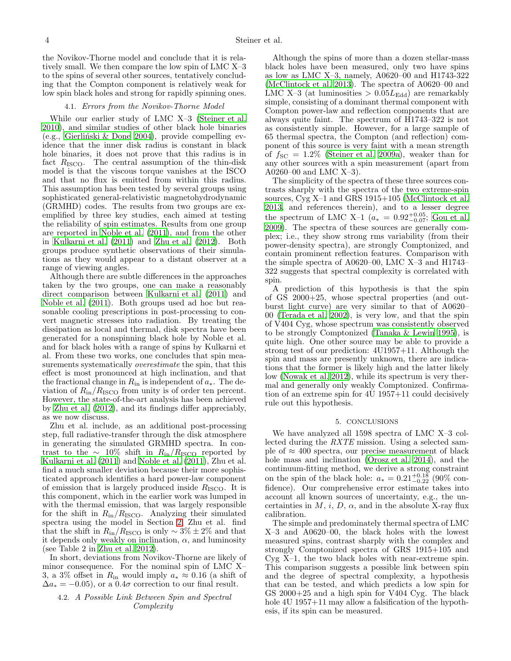the Novikov-Thorne model and conclude that it is relatively small. We then compare the low spin of LMC X–3 to the spins of several other sources, tentatively concluding that the Compton component is relatively weak for low spin black holes and strong for rapidly spinning ones.

## 4.1. Errors from the Novikov-Thorne Model

While our earlier study of LMC X–3 [\(Steiner et al.](#page-4-26) [2010\)](#page-4-26), and similar studies of other black hole binaries  $(e.g., Gierliński & Done 2004), provide compelling ev$ idence that the inner disk radius is constant in black hole binaries, it does not prove that this radius is in fact  $R_{\text{ISCO}}$ . The central assumption of the thin-disk model is that the viscous torque vanishes at the ISCO and that no flux is emitted from within this radius. This assumption has been tested by several groups using sophisticated general-relativistic magnetohydrodynamic (GRMHD) codes. The results from two groups are exemplified by three key studies, each aimed at testing the reliability of spin estimates. Results from one group are reported in [Noble et al. \(2011\)](#page-4-39), and from the other in [Kulkarni et al. \(2011](#page-4-40)) and [Zhu et al. \(2012\)](#page-4-41). Both groups produce synthetic observations of their simulations as they would appear to a distant observer at a range of viewing angles.

Although there are subtle differences in the approaches taken by the two groups, one can make a reasonably direct comparison between [Kulkarni et al. \(2011\)](#page-4-40) and [Noble et al. \(2011\)](#page-4-39). Both groups used ad hoc but reasonable cooling prescriptions in post-processing to convert magnetic stresses into radiation. By treating the dissipation as local and thermal, disk spectra have been generated for a nonspinning black hole by Noble et al. and for black holes with a range of spins by Kulkarni et al. From these two works, one concludes that spin measurements systematically *overestimate* the spin, that this effect is most pronounced at high inclination, and that the fractional change in  $R_{\text{in}}$  is independent of  $a_*$ . The deviation of  $R_{\rm in}/R_{\rm ISCO}$  from unity is of order ten percent. However, the state-of-the-art analysis has been achieved by [Zhu et al. \(2012\)](#page-4-41), and its findings differ appreciably, as we now discuss.

Zhu et al. include, as an additional post-processing step, full radiative-transfer through the disk atmosphere in generating the simulated GRMHD spectra. In contrast to the  $\sim 10\%$  shift in  $R_{\rm in}/R_{\rm ISCO}$  reported by [Kulkarni et al. \(2011\)](#page-4-40) and [Noble et al. \(2011\)](#page-4-39), Zhu et al. find a much smaller deviation because their more sophisticated approach identifies a hard power-law component of emission that is largely produced inside  $R_{\rm ISCO}$ . It is this component, which in the earlier work was lumped in with the thermal emission, that was largely responsible for the shift in  $R_{\rm in}/R_{\rm ISCO}$ . Analyzing their simulated spectra using the model in Section [2,](#page-1-1) Zhu et al. find that the shift in  $R_{\rm in}/R_{\rm ISCO}$  is only  $\sim 3\% \pm 2\%$  and that it depends only weakly on inclination,  $\alpha$ , and luminosity (see Table 2 in [Zhu et al. 2012\)](#page-4-41).

In short, deviations from Novikov-Thorne are likely of minor consequence. For the nominal spin of LMC X– 3, a 3% offset in  $R_{\text{in}}$  would imply  $a_* \approx 0.16$  (a shift of  $\Delta a_* = -0.05$ , or a  $0.4\sigma$  correction to our final result.

# 4.2. A Possible Link Between Spin and Spectral Complexity

Although the spins of more than a dozen stellar-mass black holes have been measured, only two have spins as low as LMC X–3, namely, A0620–00 and H1743-322 [\(McClintock et al. 2013\)](#page-4-3). The spectra of A0620–00 and LMC X–3 (at luminosities  $> 0.05L_{\text{Edd}}$ ) are remarkably simple, consisting of a dominant thermal component with Compton power-law and reflection components that are always quite faint. The spectrum of H1743–322 is not as consistently simple. However, for a large sample of 65 thermal spectra, the Compton (and reflection) component of this source is very faint with a mean strength of  $f_{\rm SC} = 1.2\%$  [\(Steiner et al. 2009a\)](#page-4-35), weaker than for any other sources with a spin measurement (apart from A0260–00 and LMC X–3).

The simplicity of the spectra of these three sources contrasts sharply with the spectra of the two extreme-spin sources, Cyg X–1 and GRS 1915+105 [\(McClintock et al.](#page-4-3) [2013,](#page-4-3) and references therein), and to a lesser degree the spectrum of LMC X–1  $(a_*) = 0.92^{+0.05}_{-0.07}$ ; [Gou et al.](#page-4-42) [2009\)](#page-4-42). The spectra of these sources are generally complex; i.e., they show strong rms variability (from their power-density spectra), are strongly Comptonized, and contain prominent reflection features. Comparison with the simple spectra of A0620–00, LMC X–3 and H1743– 322 suggests that spectral complexity is correlated with spin.

A prediction of this hypothesis is that the spin of GS 2000+25, whose spectral properties (and outburst light curve) are very similar to that of A0620– 00 [\(Terada et al. 2002\)](#page-4-43), is very low, and that the spin of V404 Cyg, whose spectrum was consistently observed to be strongly Comptonized [\(Tanaka & Lewin 1995\)](#page-4-44), is quite high. One other source may be able to provide a strong test of our prediction: 4U1957+11. Although the spin and mass are presently unknown, there are indications that the former is likely high and the latter likely low [\(Nowak et al. 2012\)](#page-4-45), while its spectrum is very thermal and generally only weakly Comptonized. Confirmation of an extreme spin for 4U 1957+11 could decisively rule out this hypothesis.

### 5. CONCLUSIONS

We have analyzed all 1598 spectra of LMC X–3 collected during the RXTE mission. Using a selected sample of  $\approx 400$  spectra, our precise measurement of black hole mass and inclination [\(Orosz et al. 2014\)](#page-4-2), and the continuum-fitting method, we derive a strong constraint on the spin of the black hole:  $a_* = 0.21^{+0.18}_{-0.22}$  (90% confidence). Our comprehensive error estimate takes into account all known sources of uncertainty, e.g., the uncertainties in  $M$ ,  $i$ ,  $D$ ,  $\alpha$ , and in the absolute X-ray flux calibration.

The simple and predominately thermal spectra of LMC X–3 and A0620–00, the black holes with the lowest measured spins, contrast sharply with the complex and strongly Comptonized spectra of GRS 1915+105 and Cyg X–1, the two black holes with near-extreme spin. This comparison suggests a possible link between spin and the degree of spectral complexity, a hypothesis that can be tested, and which predicts a low spin for  $GS\ 2000+25$  and a high spin for V404 Cyg. The black hole 4U 1957+11 may allow a falsification of the hypothesis, if its spin can be measured.